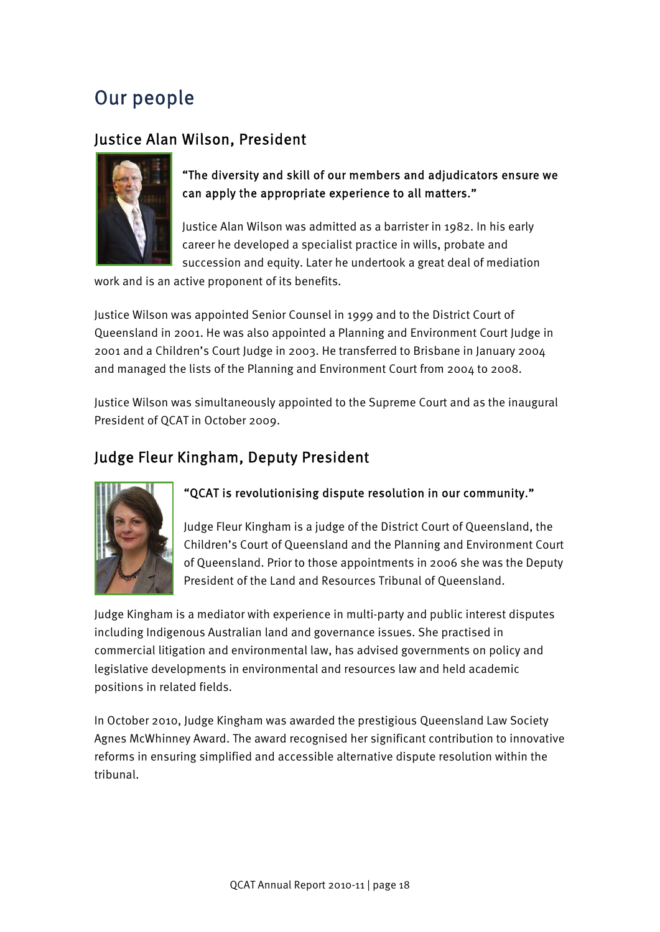# Our people

# Justice Alan Wilson, President



### "The diversity and skill of our members and adjudicators ensure we can apply the appropriate experience to all matters."

Justice Alan Wilson was admitted as a barrister in 1982. In his early career he developed a specialist practice in wills, probate and succession and equity. Later he undertook a great deal of mediation

work and is an active proponent of its benefits.

Justice Wilson was appointed Senior Counsel in 1999 and to the District Court of Queensland in 2001. He was also appointed a Planning and Environment Court Judge in 2001 and a Children's Court Judge in 2003. He transferred to Brisbane in January 2004 and managed the lists of the Planning and Environment Court from 2004 to 2008.

Justice Wilson was simultaneously appointed to the Supreme Court and as the inaugural President of QCAT in October 2009.

### Judge Fleur Kingham, Deputy President



### "QCAT is revolutionising dispute resolution in our community."

Judge Fleur Kingham is a judge of the District Court of Queensland, the Children's Court of Queensland and the Planning and Environment Court of Queensland. Prior to those appointments in 2006 she was the Deputy President of the Land and Resources Tribunal of Queensland.

Judge Kingham is a mediator with experience in multi-party and public interest disputes including Indigenous Australian land and governance issues. She practised in commercial litigation and environmental law, has advised governments on policy and legislative developments in environmental and resources law and held academic positions in related fields.

In October 2010, Judge Kingham was awarded the prestigious Queensland Law Society Agnes McWhinney Award. The award recognised her significant contribution to innovative reforms in ensuring simplified and accessible alternative dispute resolution within the tribunal.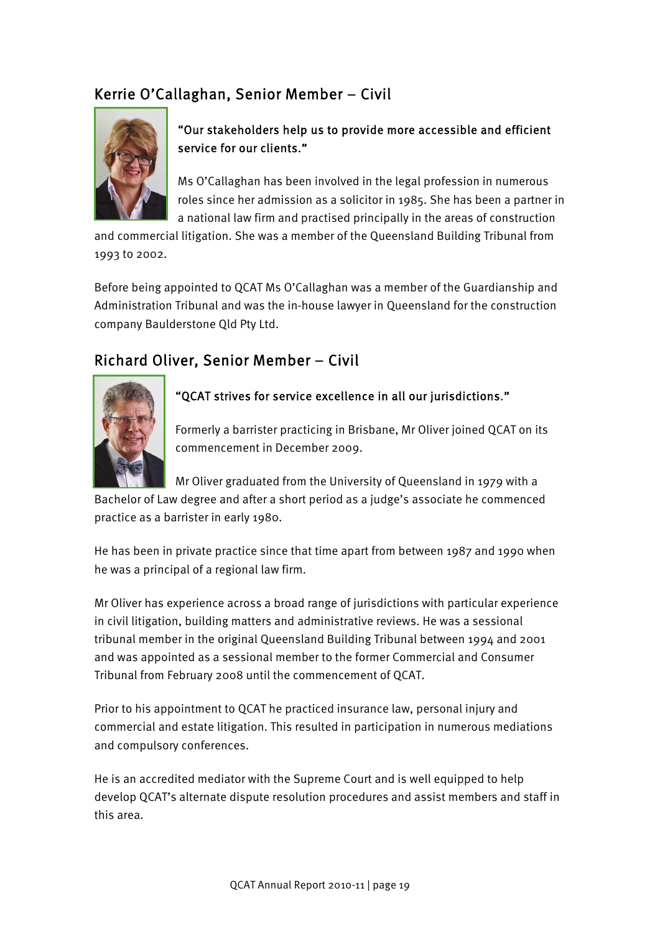# Kerrie O'Callaghan, Senior Member – Civil



### "Our stakeholders help us to provide more accessible and efficient service for our clients."

Ms O'Callaghan has been involved in the legal profession in numerous roles since her admission as a solicitor in 1985. She has been a partner in a national law firm and practised principally in the areas of construction

and commercial litigation. She was a member of the Queensland Building Tribunal from 1993 to 2002.

Before being appointed to QCAT Ms O'Callaghan was a member of the Guardianship and Administration Tribunal and was the in-house lawyer in Queensland for the construction company Baulderstone Qld Pty Ltd.

# Richard Oliver, Senior Member – Civil



#### "QCAT strives for service excellence in all our jurisdictions."

Formerly a barrister practicing in Brisbane, Mr Oliver joined QCAT on its commencement in December 2009.

Mr Oliver graduated from the University of Queensland in 1979 with a Bachelor of Law degree and after a short period as a judge's associate he commenced practice as a barrister in early 1980.

He has been in private practice since that time apart from between 1987 and 1990 when he was a principal of a regional law firm.

Mr Oliver has experience across a broad range of jurisdictions with particular experience in civil litigation, building matters and administrative reviews. He was a sessional tribunal member in the original Queensland Building Tribunal between 1994 and 2001 and was appointed as a sessional member to the former Commercial and Consumer Tribunal from February 2008 until the commencement of QCAT.

Prior to his appointment to QCAT he practiced insurance law, personal injury and commercial and estate litigation. This resulted in participation in numerous mediations and compulsory conferences.

He is an accredited mediator with the Supreme Court and is well equipped to help develop QCAT's alternate dispute resolution procedures and assist members and staff in this area.